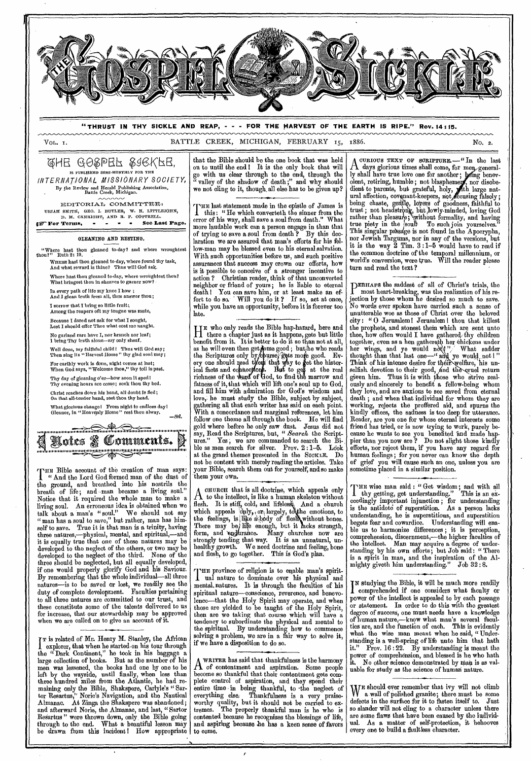

4HE egPBi ?,96,KbE, IS PUBLISHED SEMI-MONTHLY FOR THE INTERNATIONAL, MISSIONARY SOCIETY, By the Review and Herald Publishing Association, Battle Creek, Michigan.

EDITORIAL COMMITTEE: URIAH SMITH, GEO. I. BUTLER, W. H. LITTLEJOHN,<br> *D. M. CANRIGHT*, AND R. F. COTTRELL.<br>
<sup>27</sup> For Terms, - - - See Last Page.

**GLEANING AND RESTING.** 

"Where hest thou gleaned to-day? and where wroughtest thou?" Ruth 2; 10. WHERE hast thou gleaned to-day, where found thy task,<br>And what reward is thine? Thus will God ask. Where hast thou gleaned to-day, where wroughtest thou?<br>What bringest thou in sheaves to garner now?

In every path of life my knee **I** bow ; And I glean truth from all, thus answer thou;

**I** sorrow that I bring so little fruit:, Among the reapers oft my tongue was mute,

Because I dared not ask for what **I** sought,

Lest I should offer Thee what cost me naught.

No garland rare have I, nor branch nor leaf; **I** bring Thy truth alone—my only sheaf.

Well done, my faithful child I Thus will God say; Then sing its "Harvest Home" thy glad soul may;

For earthly work is done, night comes at last; When God says, "Welcome thou," thy toil is past.

Thy day of gleaning o'er—how soon It sped I Thy evening hours aro come; seek thou thy bed.

Christ reaches down his hand, all doubt is fled; On that all-tender hand, rest thou thy head.

What glorious change! From night to endless day!<br>Gleaner, in "Heavenly Home" rest thou alway. *—Sel.* 

**,.111 1.1.1.1.111111.1.1.1.1.1.1 11111.1.11i u0U1 141.1111111.14111.1111.1.111/11** 11.i1 **OVI etteli 1111111 111.1114111.111.141111.1111111 111.14101** 

THE Bible account of the creation of man says " And the Lord God formed man of the dust of the ground, and breathed into his nostrils the breath of life; and -man became a living soul." Notice that it required the whole man to make a living soul. An erroneous idea is obtained when we talk about a man's "soul." We should not say "man has a soul to save," but rather, man has him-<br>solf to save. True it is that man is a trinity, having True it is that man is a trinity, having three natures,—physical, mental, and spiritual,—and it is equally true that one of these natures may be developed to the neglect of the others, or two may be developed to the neglect of the third. None of the three should be neglected, but all equally developed, if one would properly glorify God and his Saviour. By remembering that the whole individual—all three natures—is to be saved or lost, we readily see the duty of complete development. Faculties pertaining to all three natures are committed to our trust, and these constitute some of the talents delivered to us for increase, that our stewardship may be approved when we are called on to give an account of it.

I explorer, that when he started on his tour through<br>the "Dark Continent," he took in his baggage a **T** is related of Mr. Henry M. Stanley, the African the "Dark Continent," he took in his baggage a large collection of books. But as the number of his men was lessened, the books had one by one to be left by the wayside, until finally, when less than three hundred miles from the Atlantic, he had remaining only the Bible, Shakspere, Carlyle's " Sartor Resartus," Norie's Navigation, and the Nautical Almanac. At Zinga the Shakspere was abandoned; and afterward Norte, the Almanac, and last, " Sartor Resartus " were thrown down, only the Bible going • through to the end. What *a* beautiful lesson may drawn from this incident! How appropriate

that the Bible should be the one book that *was* held on to until the end 1 It is the only book that will go with us Clear through to the end, through the " valley of the shadow of death ;" and why should we not cling to it, though, all else has to be given up?

THE last statement made in the epistle of James is<br>this: "He which converteth the sinner from the this : " He which converteth the sinner from the error of his way, shall save a soul from death." What more laudable work can a person engage in than that of trying to save *a* soul from death ? By this declaration we are assured that man's efforts for his fellow-man may be blessed even to his eternal salvation. With such opportunities before us, and such positive assurances that success may crown our efforts, how is it possible to conceive of a stronger incentive to action ? Christian reader, think of that unconverted neighbor or friend of yours; he is liable to eternal death I You can save him, or at least make an effort to do so. • Will you do it ? If so, act at once, while you have an opportunity, before it is forever too late.

H<sup>a</sup> there a chapter just as it happens, gets but little **E** who only reads the Bible hap-hazard, here and benefit from it. It is better to do it so than not at all, as he will even then get fome good ; but he who reads the Scriptures only by churse, gots more good. Every one should read then that way to get the historical facts and connections. But to get at the real richness of the word of God, to find the marrow and fatness of it, that which will lift one's soul up to God, and fill him with admiration for God's wisdom and love, he must study the Bible, subject by subject, gathering all that each writer has said on each point. With a concordance and marginal references, let him follow one theme all through the book. He will find gold where before he only saw dust. *Jesus* did not say, Read the Scriptures, but, " Search the Scriptures." Yes, we are commanded to search the  $\overline{B}$ ible as men search for silver. Prov. 2 : 1-5. Look at the grand themes presented in the **SICKLE.** Do not be content with merely reading the articles. Take your Bible, search them out for yourself, and so make them your own.

A chonon that is an occurine, which appears only<br>flesh. It is stiff, cold, and lifeless, And a church **CHURCH** that is all doctrine, which appeals only  $\Lambda$  to the intellect, is like a human skeleton without which appeals  $\phi$ uly, or, largely, to the emotions, to the feelings, is like a body of flesh without bones. There may be life enough, but it lacks strength, form, and endurance. Many churches now are strongly tending that way. It is an unnatural, unhealthy growth. We need doctrine and feeling, bone and flesh, to go together. This is God's plan.

**THE** province of religion is to enable man's spirit- ]. ual nature to dominate over his physical and mental, natures. It is through the faculties of his spiritual nature—conscience, reverence, and benevolence—that the Holy Spirit may operate, and when those are yielded to be taught of the Holy Spirit, then are we taking that course which will have a tendency to subordinate the physical and mental to the spiritual. By understanding how to commence solving a problem, we are in a fair way to solve it, if we have a disposition to do so.

A WRITER has said that thankfulness is the harmony<br>A of contentment and aspiration. Some people of' contentment and aspiration. Some people become so thankful that their contentment gets complete control of aspiration, and they spend their entire time in being thankful, to -the neglect of everything else. Thankfulness is a very praiseworthy quality, but it should not be carried to extremes. The properly thankful man is he who is contented because he recognizes the blessings of life, and aspiring because **Jie** has a keen sense of favors to come.

A days glorious times shall come, for me ,general-**CURIOUS TEXT OF** SCRIPTURE.—"In the last ly shall have true love one for another; being benevolent, retiring, humble; not blasphemer, nor disobedient to parents, but grateful, holy, with large natural affection, covenant-keepers, not decusing falsely; being chaste, gentle, lovers of goodness, faithful to trust; not headstrong, but lowly-minded, loving God rather than pleasure; without formality, and having true piety in the soul! To such join yourselves." This singular passage is not found in the Apocrypha, nor Jewish Targums, nor in any of the versions, but it is the way  $2$  Tim.  $3:1-5$  would have to read if the common doctrine of the temporal millennium, or world's conversion, were true. Will the reader please turn and read the text ?

PERHAPS the saddest of an of CHITISTS trials, the **ERHArs** the saddest of all of Christ's trials, the jection by those whom he desired so much to save. No words ever spoken have carried such a sense of unutterable woe as those of Christ over the beloved city : " 0 Jerusalem ! Jerusalem I thou that killest the prophets, and stonest them which are sent unto<br>thee, how often would I have gathered thy children how often would I have gathered thy children together, even as a hen gathereth her chickens under<br>her wings, and ye would nd(\!'',' What sadder thought than that last one—" and ye would, not !" Think of his intense desire for their welfare, his unselfish devotion to their good, and the cruel return given him. Thus it is with those who strive zealously and sincerely to benefit *a* fellow-being whom they love, and are anxious to see saved from eternal death ; and when that individual for whom they are working, rejects the proffered aid, and spurns the kindly offices, the sadness is too deep for utterance. Reader, are you one for whose eternal interests some friend has tried, or is now trying to work, purely because he wants to see you benefited and made happier than you now are ? Do not slight those kindly efforts, nor reject them, if you have any regard for human feelings ; for you never can know the depth of grief you will cause such an one, unless you are sometime placed in a similar position.

THE wise man said : "Get wisdom; and with all thy getting, get understanding." This is an exthy getting, get understanding." This is an exceedingly important injunction ; for understanding is the antidote of superstition. As a person lacks understanding, he is superstitious, and superstition begets fear and cowardice. Understanding will enable us to harmonize differences ; it is perception, comprehension, discernment,—the higher faculties of the intellect. Man may acquire a degree of understanding by his own efforts; but Job said: " There is a spirit in man, and the inspiration of the Almighty giveth him understanding." Job 32 : 8.

**I N** studying the Bible, it will be much more readily comprehended if one considers what faculty or power of the intellect is appealed to by each passage or statement. In order to do this with the greatest degree of success, one must needs have a knowledge of human nature,—know what man's several faculties are, and the function of each. This is evidently what the wise man meant when he said, "Understanding is a well-spring of life unto him that hath it." Prov. 16 : 22. By understanding is meant the power of comprehension, and blessed is he who hath it. No other science demonstration is he who hath No other science demonstrated by man is as valuable for study as the science of human nature.

W<sup>E</sup> should ever remember that ivy will not climb a wall of polished granite; there must be some a wall of polished granite; there must be some defects in the surface for it to fasten itself to. Just so slander will not cling to a character unless there are some flaws that have been caused by the individual. As a matter of self-protection, it behooves every one to build a faultless character.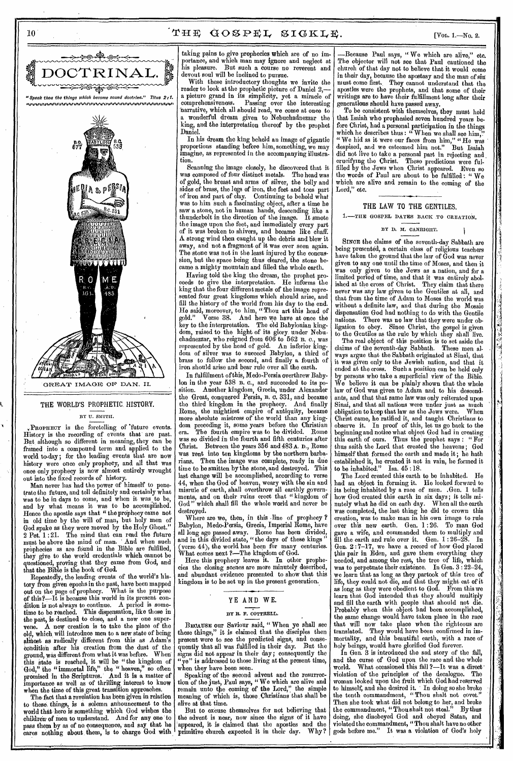



# THE WORLD'S PROPHETIC. HISTORY. BY U. SNITII.

PROPHECY is the foretelling or future events. History is the recording of events that are past. But, although so different in meaning, they can be framed into a compound term and applied to the world to-day ; for the leading events that are now

history were once only prophecy, and all that was once only prophecy is now almost entirely wrought out into the fixed records of history. Man never has had the power of himself to penetrate the future, and tell definitely and certainly what was to be in days to come, and when it was to be, and by what means it was to be accomplished. Hence the apostle says that " the prophecy came not in old time by the will of man, but holy men of God spake as they were moved by the Holy Ghost." 2 Pet. 1:21. The mind that can read the future<br>must be above the mind of man. And when such must be above the mind of man. ' And when such prophecies as are found in the Bible are fulfilled, they give to the world credentials which cannot be questioned, proving that they came from God, and

that the Bible is the book of God. Repeatedly, the leading events of the world's history from given epochs in the past, have been mapped out on the page of prophecy. What is the purpose of this?---lt is because this world in its present condition is not always to continue. A period is sometime to be reached. This dispensation, like those in the past, is destined to close, and a new one supervene. A new creation is to take the place of the old, which will introduce men to a new state of being ahnost as radically different from this as Adam's condition after his creation from the dust of the ground, was different from what it was before. When this state is reached, it will be "the kingdom of God," the "immortal life," the "heaven," so often promised in the Scriptures. And it is a matter of importance as well as of thrilling interest to know when the time of this great transition approaches.

The fact that a revelation has been given in relation to these things, is a solemn announcement to the world that here is something which God wishes the children of men to understand. And for any one to pass them by as of no, consequence, and say that he cares nothing about them, is to charge God with taking pains to give prophecies which are of no importance, and which man may ignore and neglect at his pleasure. But such a course no reverent and devout soul will be inclined to pursue.

With these introductory thoughts we invite the reader to look at the prophetic picture of Daniel 2, a picture grand in its simplicity, yet a miracle of comprehensiveness. Passing over the interesting narrative, which all should read, we come at once to wonderful dream given to Nebuchadnezzar the king, and the interpretation thereof by the prophet Daniel.

In his dream the king beheld an image of gigantic proportions standing before him, something, we may imagine, as represented in the accompanying illustration.

Scanning the image closely, he discovered that it was composed of four distinct metals. of gold, the breast and arms of silver, the belly and sides of brass, the legs of iron, the feet and toes part of iron and part of clay. Continuing to behold what was to him such a fascinating object, after a time he saw a stone, not in human hands, descending like a thunderbolt in the direction of the image. It smote the image upon the feet, and immediately every part of it was broken to shivers, and became like chaff. A strong wind then caught up the debris and blew it away, and not a fragment of it was ever seen again. The stone was not in the least injured by the concussion, but the space being thus cleared, the stone became a mighty mountain and filled the whole earth.

Having told the king the dream, the prophet proceeds to give the interpretation. He informs the king that the four different metals of the image represented four great kingdoms which should arise, and fill the history of the world from his day to the end. He said, moreover, to him, "Thou art this head of gold." Verse 38. And here we have at once the gold." Verse 38. And here we have at once the key to the interpretation. The old Babylonian kingdom, raised to the hight of its glory. under Nebuchadnezzar, who reigned from  $606$  to  $562$  B. c., was represented by the head of gold. An inferior kingdom of silver was to succeed Babylon, a third of brass to follow the second, and finally a fourth of iron should arise and bear rule over all the earth.

In fulfillment of this, Medo-Persia overthrew Babylon in the year 538 B. C., and succeeded to its position. Another kingdom, Grecia, under Alexander the Great, conquered Persia, B. C. 331, and became the third kingdom in the prophecy. And finally Rome, the mightiest empire of antiquity, became more absolute mistress of the world than any kingdom preceding it, some years before the Christian era. The fourth empire was to be divided. Rome was so divided in the fourth and fifth centuries after Christ. Between the years 356 and 483 A. D., Rome was rent into ten kingdoms by the northern barbarians. Then the image was complete, ready in due time to be smitten by the stone, and destroyed. This last change will be accomplished, according to verse 44, when the God of heaven, weary with the sin and misrule of earth, shall overthrow all earthly governments, and on their ruins erect that " kingdom of God " which shall fill the whole world and never be destroyed.

Where are we, then, in this line of prophecy ? Babylon, Medo-Persia, Grecia, Imperial Rome, have all long ago passed away. Rome has been divided, and in this divided state, "the days of these kings " (verse 44), the world has been for many centuries. What comes next ?—The kingdom of God.

Here this prophecy leaves it. In other prophecies the closing scenes are more minutely described, and abundant evidence presented to show that this kingdom is to be set up in the present generation..

# YE AND WE.

#### BY R. F. COTTRELL.

BECAUSE our Saviour said, " When ye shall see these things," it is claimed that the disciples then present were to see the predicted signs, and consequently that all was fulfilled in their day. But the signs did not appear in their day; consequently the "ye" is addressed to those living at the present time, when they have been seen.

Speaking of the second advent and the resurrection of the just, Paul *says, "* We which are alive and remain unto the coming of the Lord," the simple meaning of which is, those Christians that shall be alive at that time.

But to excuse themselves for not believing that the advent is near, now since the signs of it have appeared, it is claimed that the apostles and the primitive church expected it in their day. Why?

Because Paul says, "We which are alive," etc. The objector will not see that Paul cautioned the church of that day not to believe that it would come in their day, because the apostasy and the man of sin must come first. They cannot understand that the apostles were the prophets, and that some of their writings are to have their fulfillment long after their generations should have passed away.

To be consistent with themselves, they must hold that Isaiah who prophesied seven hundred years before Christ, had a personal participation in the things which he describes thus: "When we shall see him," " We hid as it were our faces from him," " He was despised, and we esteemed him not." But Isaiah did not live to take a personal part in rejecting and. crucifying the Christ. These predictions were fulfilled by the Jews when Christ appeared. Even so the words of Paul are about to be fulfilled: "We which are alive and remain to the coming of the Lord," etc.

### THE LAW TO THE GENTILES.

1.-THE GOSPEL DATES BACK TO CREATION.

BY D. M. CANRIGHT.

١

SINCE the claims of the seventh-day Sabbath aro being presented, a certain class of religious teachers have taken the ground that the law of God was never given to any one until the time of Moses, and then it was only given to the Jews as a nation, and for a limited period of time, and that it was entirely abolished at the cross of Christ. They claim that there never was any law given to the Gentiles at all, and that from the time of Adam to Moses the world was without a definite law, and that during the Mosaic dispensation God had nothing to do with the Gentile nations. There was no law that they were under obligation to obey. Since Christ, the gospel is given to the Gentiles as the rule by which they shall live.

The real object of this position is to set aside the claims of the seventh-day Sabbath. These men always argue that the Sabbath originated at Sinai, that it was given only to the Jewish nation, and that it ended at the cross. Such a position can be held only by persons who take a superficial view of the Bible. believe it can be plainly shown that the whole law of God was given to Adam and to his descendants, and that that same law was only reiterated upon sinai, and that all nations were under just as much<br>obligation to keen that law as the Jews were. When obligation to keep that law as the Jews were. Christ came, he ratified it, and taught Christians to observe it. In proof of this, let us go back to the beginning and notice what object God had in creating this earth of ours. Thus the prophet says : " For thus saith the Lord that created the heavens ; God himself that formed the earth and made it; he hath established it, he created it not in vain, he formed it to be inhabited." Isa. 45 :18.

' A

The Lord created this earth to be inhabited. He had an object in forming it. He looked forward to its being inhabited by a race of men. .Gen. 1 tells how God created this earth in six days; it tells minutely what he did on each day. When all the earth was completed, the last thing he did to crown this creation, was to make man in his own image to rule over this new earth. Gen. I :26. To man God gave a wife, and commanded them to multiply and fill the earth and rule over it. Gen.  $1:26-28$ . In Gen. 2 :7-17, we have a record of how God placed this pair in Eden, and gave them everything they needed, and among the rest, the tree of life, which was to perpetuate their existence. In Gen.  $3:22-24$ , we learn that as long as they partook of this tree of life, they could not die, and that they might eat of it as long as they were obedient to God. From this we learn that God intended that they should multiply and fill the earth with people that should not die. Probably when this object had been accomplished, the same change would have taken place in the race that will now take place when the righteous are translated. They would have been confirmed in immortality, and this beautiful earth, with a race of holy beings, would have glorified God forever.

In Gen. 3 is introduced the sad story of the fall, and the curse of God upon the race and the whole world. What occasioned this fall ?—It was a direct • violation of the principles of the decalogue. The woman looked upon the fruit which God had reserved to himself, and she desired it. ' In doing so she broke the tenth commandment, " Thou shalt not covet." Then she took what did not belong to her, and broke the commandment, "Thou shalt not steal." By thus doing, she disobeyed God and obeyed Satan, and violated the commandment, "Thou shalt have no other gods before me." It was a violation of God's holy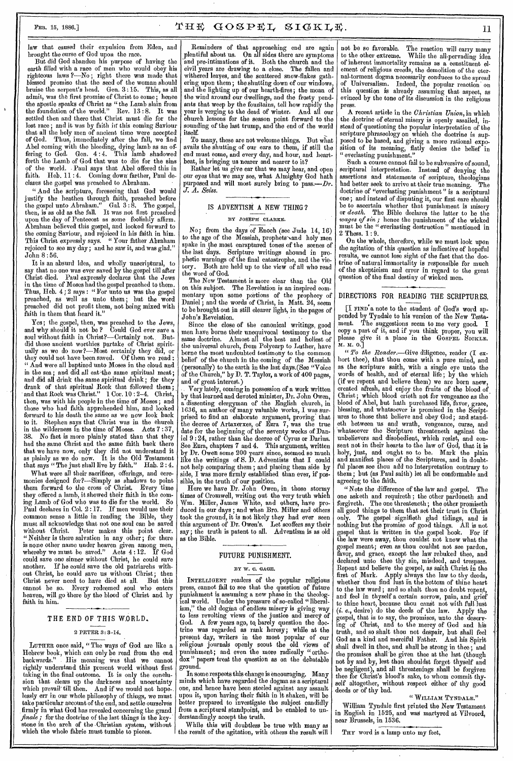$\mathbf{r}$ 

law that caused their expulsion from Eden, and brought the curse of God upon the race.

But did God abandon his purpose of having the earth filled with a race of men who would obey his righteous laws ?—No; right there was made that blessed promise that the seed of the woman should bruise the serpent's head. Gen. 3 :15. This, as all admit, was the first promise of Christ to come ; hence the apostle speaks of Christ as "the Lamb slain from the foundation of the world." Rev. 13:8. It was settled then and there that Christ must die for the lost race; and it was by faith in this eoming Saviour that all the holy men of ancient time were accepted of God. Thus, immediately after the fall, we find Abel coming with the bleeding, dying lamb as an offering to God. Gen. 4:4. This lamb shadowed fering to God. Gon.  $4:4$ . This lamb shadowed forth the Lamb of God that was to die for the sins of the world. . Paul says that Abel offered this in faith. Heb. 11:4. Coming down farther, Paul declares the gospel was preached to Abraham.

" And the scripture, foreseeing that God would justify the heathen through faith, preached before the gospel unto Abraham." Gal. 3 : 8. The gospel, then, is as old as the fall. It was not first preached upon the day of Pentecost as some foolishly affirm. Abraham believed this gospel, and looked forward to the coming Saviour, and rejoiced in his faith in him. This Christ expressly says. " Your father Abraham rejoiced to see my day; and he saw it, and was glad." John 8 : 56.

It is an absurd idea, and wholly unscriptural, to say that no one was ever saved by the gospel till after Christ died. Paul expressly declares that the Jews in the time of Moses had the gospel preached to them. Thus, Heb. 4:2 says: "For unto us was the gospel preached, as well as unto them ; but the word preached did not profit them, not being mixed with faith in them that heard it."

Yes ; the gospel, then, was preached to the Jews, and why shoidd it not be ? Could God ever save a soul without faith in Christ?—Certainly not.. Butdid those ancient worthies partake of Christ spiritually as we do now?—Most eertainly they did, or they could not have been saved. Of them we read " And were all baptized unto Moses in the cloud and in the sea; and did all eat the same spiritual meat; and did all drink the same spiritual drink ; for they drank of that spiritual Rock that followed them ; and that Rock was Christ." 1 Cor. 10:2-4. Christ, then, was with his people in the time of Moses; and those who had faith apprehended him, and looked forward to his death the same as we now look back to it. Stephen says that Christ was in the church in the wilderness in the time of Moses. Acts 7:37, No fact is more plainly stated than that they had the same Christ and the same faith back there that we have now, only they did not understand it as plainly as we do now. It is the Old Testament that says " The just shall live by faith." Hab. 2 : 4.

What were all their sacrifices, offerings, and ceremonies designed for?—Simply as shadows to point them forward to the cross of Christ. Every time they offered a lamb, it showed their faith in the com-<br>ing Lamb of God who was to die for the world. So Lamb of God who was to die for the world. So Paul declares in Col. 2 : 17. If men would use their common sense a little in reading the Bible, they must all acknowledge that not one soul can be saved without Christ. Peter makes this point clear. " Neither is there salvation in any other; for there is none other name under heaven given among men, whereby we must be saved." Acts 4 :12. If God could save one sinner without Christ, he could save another. If he could save the old patriarchs without Christ, ho could save us without Christ; then Christ never need to have died at all. But this cannot be so. Every redeemed soul who enters heaven, will go 'there by the blood of Christ and by faith in him.

# THE END OF THIS WORLD,

#### 2 PETER 3: 3-14.

LUTHER once said, "The ways of God are like a Hebrew book, which can only be read from the end<br>backwards." His meaning was that we cannot His meaning was that we cannot rightly understand this present world without first taking in the final outcome. It is only the conclusion that clears up the darkness and uncertainty which prevail' till then. And if we would not hopelessly err in our whole philosophy of things, we must take particular account of the end, and settle ourselves firmly in what God has revealed concerning the grand *finale;* for the doctrine of the last things is the key; stone in the arch of the •Christian system, without which the whole fabric must tumble to pieces.

Reminders of that approaching end are again plentiful about us. On all sides there are symptoms and pre-intimations of it. Both the church and the civil years are drawing to a close. The fallen and civil years are drawing to a close. withered leaves, and the scattered snow-flakes gathering upon them ; the shutting down of our windows, and the lighting up of our hearth-fires; the moan of the wind around our dwellings, and the frosty pendants that weep by the fountains, tell how rapidly the year is verging to the dead of winter. And all our church lessons for the season point forward to the sounding of the last trump, and the end of the world itself.

To many, these are not welcome things. But what avails the shutting of our ears to them, if still the end must come, and every day, and hour, and heartbeat, is bringing us nearer and nearer to it?

Rather let us give ear that we may hear, and open our eyes that we may see, what Almighty God bath purposed and will most surely bring to pass.-*J. A. Seiss.* 

### IS ADVENTISM A NEW THING ?

#### BY JOSEPH CLARKE.

No; from the days of Enoch (see Jude 14, 16) to the age of the Messiah, prophets and holy men spake in the most enraptured tones of the scenes of the last days. Scripture writings abound in prophetic warnings of the final catastrophe, and the victory. Both are held up to the view of all who read the word of God.

The New Testament is more clear than the Old on this subject. The Revelation is an inspired commentary upon some portions of the prophecy of Daniel ; and the words of Christ, in Matt. 24, seem to be brought out in still clearer light, in the pages of John's Revelation.

Since the close of the canonical writings, good men have borne their unequivocal testimony to the same doctrine. Almost all the best and holiest of the universal church, from Polycarp to Luther, have borne the most undoubted testimony to the common belief of the church in the coming of the Messiah (personally) to the earth in the last days.(See "Voice of the Church," by D. T. Taylor, a work of 400 pages, and of great interest.)

Very lately, coming in possession of a work written by that learned and devoted minister, Dr. John Owen, a dissenting clergyman of the English church, in 1636, an author of many valuable works, I was surprised to find an elaborate argument, proving that the decree of Artaxerxes, of Ezra 7, was the true date for the beginning of the seventy weeks of Daniel 9 : 24, rather than the decree of Cyrus or Darius. See Ezra, chapters 7 and 4. This argument, written by Dr. Owen some 200 years since, seemed so much like the writings of S. D. Adventists that I could not help comparing them ; and placing them side by side, I was more firmly established than ever, if possible, in the truth of our position.

Here we have Dr. John Owen, in those stormy times of Cromwell, writing out the very truth which<br>Wm. Miller, James White, and others, have pro-Miller, James White, and others, have produced in our days ; and when Bro. Miller and others took the ground, it is not likely they had ever seen this argument of Dr. Owen's. Let scoffers say their say ; the truth is patent to all. Adventism is as old as the Bible.

# FUTURE PUNISHMENT.

#### BY W. 0. GAGE.

INTELLIGENT readers of the popular religious press, cannot fail to see that the question of future punishment is assuming a new phase in the theological world. Under the pressure of so-called "liberalism," the old dogma of endless misery is giving way to less revolting views of the justice and mercy of God. A few years ago, to barely question the doctrine was regarded as rank heresy; while at the present day, writers in the most popular of our religious journals openly scout the old views of religious journals openly scout the old views of punishment; and even the more radically "orthodox " papers treat the question as on the debatable ground.

In some respects this change is encouraging. Many minds which have regarded the dogma as a scriptural one, and hence have been steeled against any assault upon it, upon having their faith in it shaken, will be better prepared to investigate the subject candidly from a scriptural standpoint, and be enabled to understandingly accept the truth.

While this will doubtless be true with many as the result of the agitation, with others the result will

not be so favorable. The reaction will earry many to the other extreme. While the all-pervading idea to the other extreme. While the all-pervading idea of inherent immortality remains as a eonstituent element of religious creeds, the demolition of the eternal-torment dogma necessarily conduces to the spread of Universalism. Indeed, the popular reaction on this question is already assuming that aspect, as evinced by the tone of its discussion in the religious press.

A recent article in the *Christian Union,* in which the doctrine of eternal misery is openly assailed, instead of questioning the popular interpretation of the scripture phraseology on which -the doctrine is supposed to be based, and giving a more rational exposition of its meaning, flatly denies the belief in " everlasting punishment."

Such a course cannot fail to be subversive of sound, scriptural interpretation. Instead of denying the assertions and statements of scripture, theologians had better seek to arrive at their true meaning. The doctrine of "everlasting punishment " is a scriptural one; and instead of disputing it, our first eare should be to ascertain whether that punishment is misery or *death.* The Bible declares the latter to be the *wages of sin ;* hence the punishment of the wicked must be the " everlasting destruction " mentioned in 2 Thess. 1: 9.

On the whole, therefore, while we must look upon the agitation of this question as indicative of hopeful results, we cannot lose sight of the fact that the doctrine of natural immortality is responsible for much of the skepticism and error in regard to the great question of the final destiny of wicked men.

## DIRECTIONS FOR READING THE SCRIPTURES.

[I FIND'a note to the student of God's word appended by Tyndale to his version of the New Testa-<br>ment. The suggestions seem to me very good. ment. The suggestions seem to me very good. I copy a part of it, and if you think proper, you will please give it a place in the GOSPEL SICKLE. M. M. 0.]

*" To the Reader.—Give* diligence, reader (I exhort thee), that thou come with a pure mind, and as the scripture saith, with a single eye unto the words of health, and of eternal life ; by the which (if we repent and believe them) we are born anew, created afresh, and enjoy the fruits of the blood of Christ; which blood crieth not for vengeance as the blood of Abel, but bath purchased life, favor, grace, blessing, and whatsoever is promised in the Scriptures to those that believe and obey God; and standeth between us and wrath, vengeance, curse, and whatsoever the Scripture threateneth against the unbelievers and disobedient, which resist, and consent not in their hearts to the law of God, that it is holy, just, and ought so to be. Mark the plain and manifest places of the Scriptures, and in doubtful places see thou add no interpretation contrary to them ; but (as Paul saith) let all be conformable and agreeing to the faith.

"Note the difference of the law and gospel. one asketh and requireth ; the other pardoneth and forgiveth. The one threateneth; the other promiseth all good things to them that set their trust in Christ only. The gospel signifieth glad tidings, and is nothing but the promise of good things. All is not gospel that is written in the gospel book. For if the law were away, thou couldst not know what the gospel meant; even as thou couldst not see pardon, favor, and grace, except the law rebuked thee, and declared unto thee thy sin, misdeed, and trespass. Repent and believe the gospel, as saith Christ in the first of Mark. Apply always the law to thy deeds, whether thou find lust in the bottom of thine heart to the law ward ; and so shalt thou no doubt repent, and feel in thyself a certain sorrow, pain, and grief to thine heart, because thou canst not with full lust *(i. e.,* desire) do the deeds of the law. Apply the gospel, that is to say, the promises, unto the deserving of Christ, and to the mercy of God and his truth, and so shalt thou not despair, but shall feel God as a kind and merciful Father. And his Spirit shall dwell in thee, and shall be strong in thee; and the promises shall be given thee at the last (though not by and by, lest thou shouldst forget thyself and be negligent), and all threatenings shall be forgiven thee for Christ's blood's sake, to whom commit thyself altogether, without respect either of thy good deeds or of thy bad.

" WILLIAM TYNDALE."

William Tyndale first printed the New Testament in English in 1525, and was martyred at Vilvoord, near Brussels, in 1536.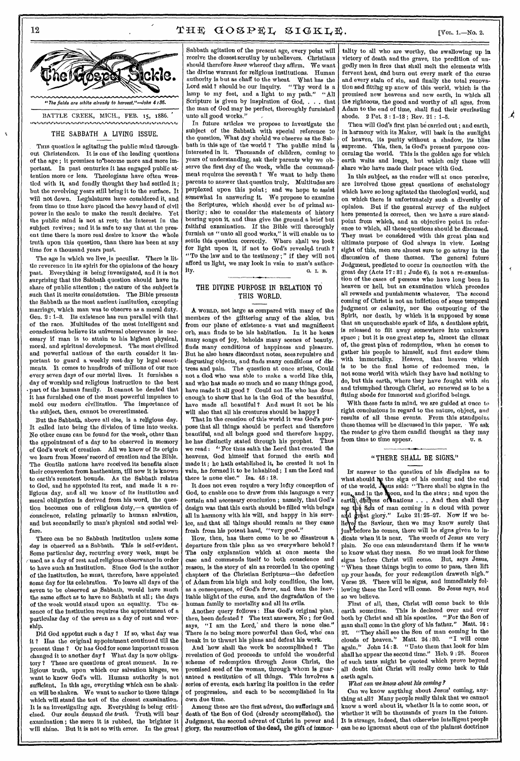$\mathcal{L}_{\mathcal{L}}$ 



### THE SABBATH A LIVING ISSUE.

THIS question is agitating the public mind throughout Christendom. It is one of the leading questions of the age; it promises to become more and more important. In past centuries it has engaged public attention more or less. Theologians have often wrestled with it, and fondly thought they had settled it; but the revolving years still bring it to the surface. It will not down. Legislatures have considered it, and from time to time have placed the heavy hand of civil power in the scale to make the result decisive. Yet the public mind is not at rest; the interest in the subject revives; and it is safe to say that at the present time there is more real desire to know the whole truth upon this question, than there has been at any time for a thousand years past.

The age in which we live is peculiar. There is little reverence in its spirit for the opinions of the hoary past. Everything is being investigated, and it is not surprising that the Sabbath question should have its share of public attention ; the nature of the subject is such that it merits consideration. The Bible presents the Sabbath as the most ancient institution, excepting marriage, which man was to observe as a moral duty. Gen. 2 : 1-3. Its existence has run parallel with that of the race. Multitudes of the most intelligent and conscientious believe its universal observance is necessary if man is to attain to his highest physical, moral, and spiritual development. The most civilized and powerful nations of the earth consider it important to guard a weekly rest-day by legal enactments. It comes to hundreds of millions of our race every seven days of our mortal lives. It furnishes a day of worship and religious instruction to the best part of the human family. It cannot be denied that It has furnished one of the most powerful impulses to mold our modern civilization. The importance of the subject, then, cannot be overestimated.

But the Sabbath, above all else, is a religious day. It called into being the division of time into weeks. No other cause can be found for the week, other than the appointment of a day to be observed in memory of God's work of creation. All we know of its origin we learn from Moses' record of creation and the Bible. The Gentile nations have received its benefits since their conversion from heathenism, till now it is known to earth's remotest bounds. As the Sabbath relates to God, and lie appointed its rest, and made it a religious day, and all we know of its institution and moral obligation is derived from his word, the question becomes one of religious duty,—a question of conscience, relating primarily to human salvation, and but secondarily to man's physical and social welfare.

There can be no Sabbath institution unless some day is observed as a Sabbath. This is self-evident. Some particular day, recurring every week, must be used as a day of rest and religious observance in order to have such an institution. Since God is the author of the institution, he must, therefore, have appointed some day for its celebration. To leave all days of the seven to be observed as Sabbath, would have much the same effect as to have no Sabbath at all; the days<br>of the week would stand upon an equality. The esof the week would stand upon an equality. sence of the institution requires the appointment of a particular day of the seven as a day of rest and worship.

Did God appoint such a day ? If so, what day was it ? Has the original appointment continued till the present time ? Or has God for some important reason changed it to another day? What day is now obligatory ? These are questions of great moment. In religious truth, upon which our salvation hinges, we want to know God's will. Human authority is not sufficient. In this age, everything which can be shaken will be shaken. We want to anchor to those things which will stand the test of the closest examination. It is an investigating age. Everything is being criticised. Our souls demand the truth. Truth will bear examination ; the more it is rubbed, the brighter it will shine. But it is not so with error. In the great

Sabbath agitation of the present age, every point will receive the closest scrutiny by unbelievers. Christians should therefore know whereof they affirm. We want the divine warrant for religious institutions. Human authority is but as chaff to the wheat. What has the Lord said ? should be our inquiry. " Thy word is a lamp to my feet, and a light to my path." "All Scripture is given by inspiration of God, . . . that the man of God may be perfect, thoroughly furnished unto all good works."

In future articles we propose to investigate the subject of the Sabbath with special reference to the question, What day should we observe as the Sabbath in this age of the world ? The public mind is interested in it. Thousands of children, coming to years of understanding, ask their parents why we observe the first day of the week, while the commandment requires the seventh ? We want to help these parents to answer that question truly. Multitudes are perplexed upon this point ; and we hope to assist somewhat in answering it. We propose to examine the Scriptures, which should ever be of primal authority; also to consider the statements of history bearing upon it, and thus give the ground a brief but faithful examination. If the Bible will thoroughly furnish us "unto all good works," it will enable us to settle this question correctly, Where shall we look for light upon it, if not to God's revealed. truth ? "To the law and to the testimony ; " if they will not afford us light, we may look in vain to man's author $i$ ty. G. I. B.

# THE DIVINE PURPOSE IN RELATION TO THIS WORLD.

A WORLD, not large as compared with many of the members of the glittering army of the skies, but from our plane of existence- a vast and magnificent orb, man finds to be his habitation. In it he hears many songs of joy, beholds many scenes of beauty, finds many conditions of happiness and pleasure. But he also hears discordant notes, sees repulsive and disgusting objects, and finds many conditions of distress and pain. The question at once arises, Could not a God who was able to make a world like this, and who has made so much and so many things good, have made it all good ? Could not He who has done enough to show that he is the God of the beautiful, have made all beautiful? And must it not be his will also that all his creatures should be happy?

That in the creation of this world it was God's purpose that all things should be perfect and therefore beautiful, and all beings good and therefore happy, he has distinctly stated through his prophet. Thus we read : " For thus saith the Lord that created the heavens, God himself that formed the earth and made it ; he hath established it, he created it not in vain, he formed it to be inhabited ; I am the Lord and there is none else." Isa. 45 : 18.

It does not even require a very lofty conception of God, to enable one to draw from this language a very certain and necessary conclusion ; namely, that God's design was that this earth should be filled with beings all in harmony with his will, and happy in his service, and that all things should remain as they came fresh from his potent hand, "very good."

How, then, has there come to be so disastrous a departure from this plan as we everywhere behold ? The only explanation which at once meets the case and commends itself to both conscience and reason, is the story of sin as recorded in the opening chapters of the Christian Scriptures—the defection of Adam from his high and holy condition, the loss, as a consequence, of God's favor, and then the inevitable blight of the curse, and the degradation of the human family to mortality and all its evils.

Another query follows : Has God's original plan, then, been defeated ? The text answers, No ; for God says, "I am the Lord, and there is none else." There is no being more powerful than God, who' can break in to thwart his plans and defeat his work.

And 'how shall the work be accomplished ? The revelation of God proceeds to unfold the wonderful scheme of redemption through Jesus Christ, the promised seed of the woman, through whom is guaranteed a restitution of all things. This involves a series of events, each having its position in the order of progression, and each to be accomplished in its own due time.

Among these are the first advent, the sufferings and death of the Son of God (already accomplished), the Judgment, the second advent of Christ in power and glory, the resurrection of the dead, the gift of immortality to all who are worthy, the swallowing up in victory of death and the grave, the perdition of ungodly men in fires that shall melt the elements with fervent heat, dnd burn out every mark of the curse and every stain of sin, and finally the total renovation wad fitting up anew of this world, which is the promised new heavens and new earth, in which all the righteous, the good and worthy of all ages, from Adam to the end of time, shall find their everlasting abode. 2 Pet. 3 : 1-13 ; Rev. 21 : 1-5.

Then will God's first plan be carried out; and earth, in harmony with its Maker, will bask in the sunlight of heaven, its purity without a shadow, its bliss supreme. This, then, is God's present purpose concerning the world. This is the golden age for which earth waits and longs, but which only those will share who have made their peace with God.

In this subject, as the reader will at once perceive, are involved those great questions of eschatology which have so long agitated the theological world, and on which there is unfortunately such a diversity of opinion. But if the general survey of the subject here presented is correct, then we have a sure standpoint from which, and an objective point in reference to which, all these questions should be discussed. They must be considered with this great plan and ultimate purpose of God always in view. Losing sight of this, men are almost sure to go astray in the discussion of these themes. The general future Judgment, predicted to occur in connection with the great day (Acts 17 : 31 ; Judo 6), is not a re-examination of the cases of persons who have long been in heaven or hell, but an examination which precedes all rewards and punishments whatever. The second coming of Christ is not an infliction of some temporal judgment or calamity, nor the outpouring of the Spirit, nor death, by which it is supposed by some that an unquenchable spark of life, a deathless spirit, is released to flit away somewhere into unknown space ; but it is one great step in, almost the climax of, the great plan of redemption, when he comes to gather his people to himself, and first endow them with immortality. Heaven, that heaven which is to be the final home of redeemed men, is not some world with which they have had nothing to do, but this earth, where they have fought with sin and triumphed through Christ, so renewed as to be a fitting abode for immortal and glorified beings.

With these facts in mind, we are guided at once to right conclusions in regard to the nature, object, and results of all these events. From this standpoint these themes will be discussed in this paper. We ask the reader to give them candid thought as they may from time to time appear. U. s.

### "THERE SHALL BE SIGNS."

Ix answer to the question of his disciples as to what should the sign of his coming and the end of the world,  $J_{\text{S}^{3}}$ us said: "There shall be signs in the  $\sin_{\theta}$  and in the moon, and in the stars; and upon the eartly, distress of nations . . . And then shall they see the Son of man coming in a cloud with power and great glory." Luke  $21:25-27$ . Now if we believe the Saviour, then we may know surely that just before he comes, there will be signs given to indicate when it is near. The words of Jesus are very plain. No one can misunderstand them if he wants to know what they mean. So we must look for these signs before Christ will come. But, says Jesus, " When these things begin to come to pass, then lift up your heads, for your redemption draweth nigh." Verse 28. There will be signs, and immediately following these the Lord will come. So Jesus says, and so we believe.

First of all, then, Christ will come back to this This is declared over and over both by Christ and all his apostles. "For the Son of man shall come in the glory of his father." 27. "They shill see the Son of man coming in the clouds of heaven." Matt. 24 : 30. "I will come again." John 14 : 8. "Unto them that look for him shall he appear the second time." Heb. 9 ; 28. Scores of such texts might be quoted which prove beyond all doubt thht Christ will really come back to this earth again.

What can we know about his coming?

Can we know anything about Jesus' coming, anything at all? Many people really think that we cannot know a word about it, whether it is to come soon, or whether it will be thousands of years in the future. It is strange, indeed, that otherwise intelligent people can be so ignorant about one of the plainest doctrines

12

 $\mathbf{k}$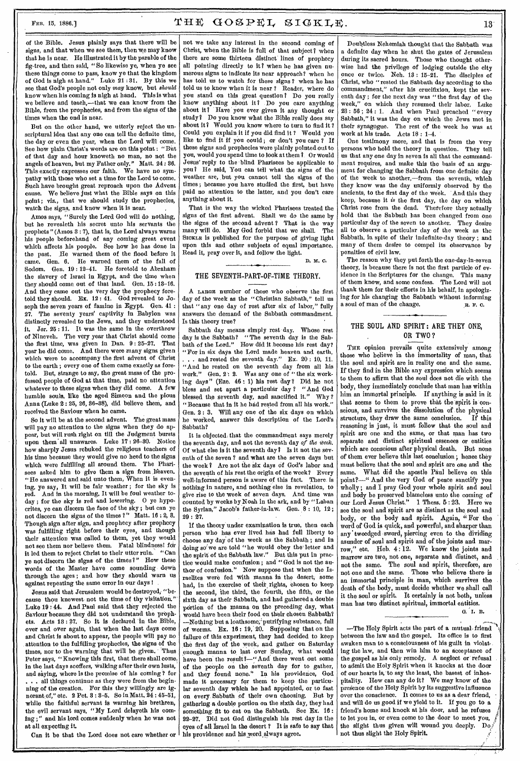# FER. 15, 1886.]  $T \times T \times G \times P \times L \times I \times K$ .

of the Bible. Jesus plainly says that there will be signs, and that when we see them, then we may know that he is near. He illustrated it by the parable of the fig-tree, and then said, "So likewise ye, when ye see these things come to pass, know ye that the kingdom of God is nigh at hand." Luke 21 : 31. By this we see that God's people not only may know, but *should*  know when his coming is nigh at hand. This is what we believe and teach,—that we can know from the Bible, from the prophecies, and from the signs of the times when the end is near.

But on the other hand, we utterly reject the unscriptural idea that any one can tell the definite time, the day or even the year, when the Lord will come. See how plain Christ's words are on this point : "But of that day and hour knoweth no man, no not the angels of heaven, but my Father only," Matt. 24 : 86. This exactly expresses our faith. We have no sympathy with those who set a time for the Lord to come. Such have brought great reproach upon the Advent cause. We believe just what the Bible says on this point; viz., that we should study the prophecies, watch the signs, and know when it is near.

Amos says, "Surely the Lord God will do nothing, but he revealeth his secret unto his servants the prophets" (Amos 3 : 7), that is, the Lord always warns his people beforehand of any coming great event which affects his people. See how he has done in the past. He warned them of the flood before it came. Gen. 6. He warned them of the fall of Sodom. Gen. 19: 12-41. He foretold to Abraham the slavery of Israel in Egypt, and the time when they should come out of that land. Gen. 15 : 18-16. And they came out the very day the prophecy foretold they should. Ex. 12 : 41. God revealed to Joseph the seven years of famine in Egypt. Gen. 41 : 27. The seventy years' captivity In Babylon was distinctly revealed to the Jews, and they understood it. Jer. 25 : 11. It was the same in the overthrow of Nineveh. The very year that Christ should come the first time, was given in Dan. 9 : 25-27. That year he did come. And there were many signs given which were to accompany the first advent of Christ to the earth ; every one of them came exactly as foretold. But, strange to say, the great mass of the professed people of God at that time, paid no attention whatever to these signs when they did come. A few humble souls, like the aged Simeon and the pious Anna (Luke 2 : 25, 26, 86-38), did believe them, and received the Saviour when he came.

So it will be at the second advent. The great mass will pay no attention to the signs when they do appear, but will rush right on till the Judgment bursts upon them 'all unawares. Luke 17 : 26-80. Notice how sharply Jesus rebuked the religious teachers of his time because they would give no heed to the signs which were fulfilling all around them. The Pharisees asked him to give them a sign from heaven. "He answered and said unto them, When it is evening, ye say, It will be fair weather ; for the sky is red. And in the morning, It will be foul weather today ; for the sky is red and lowering. O ye hypocrites, ye can discern the face of the sky ; but can ye not discern the signs of the times 1" Matt. 16 : 2, 3. Though sign after sign, and prophecy after prophecy was fulfilling right before their eyes, and though their attention was called to them, yet they would not see them nor believe them. Fatal blindness! for it led them to reject Christ to their utter ruin. "Can ye not discern the signs of the times?" How these words of the Master have come sounding down through the ages ; and how they should warn us against repeating the same error in our days !

Jesus said that Jerusalem would be destroyed, "because thou knewest not the time of thy visitation." Luke 19 : 44. And Paul said that they rejected the Saviour because they did not understand the prophets. Acts 18 : 27. So it is declared in the Bible, over and over again, that when the last days come and Christ is about to appear, the people will pay no attention to the fulfilling prophecies, the signs of the times, nor to the warning that will be given. Thus Peter says, "Knowing this first, that there shall come in the last days scoffers, walking after their own lusts, and saying, where is the promise of his coming ? for .. all things continue as they were from the beginning of the creation. For this they willingly are ignorant of," etc. 2 Pet. 8 : 8-5. So in Matt. 24 : 45-51, while the faithful servant is warning his brethren, the evil servant says, "My Lord delayeth his coming ; " and his lord comes suddenly when he was not at all expecting it.

Can it be that the Lord does not care whether or

not we take any interest in the second coming of Christ, when the Bible is full of that subject? when there are some thirteen distinct' lines of prophecy all pointing directly to it? when he has given numerous signs to indicate its near approach? when he has told us to watch for these signs ? when he has told us to know when it is near ? Reader, where do you stand on this great question ? Do you really know anything about it? Do you care anything about it? Have you ever given it any thought or study? Do you know what the Bible really does say about it? Would you know where to turn to find it? Could you explain it if you did find it ? Would you like to find it if you could; or don't you care  $\tilde{i}$  If these signs and prophecies were plainly pointed out to you, would you spend time to look at them ? Or would Jesus' reply to the blind Pharisees be applicable to you? He said, You can tell what the signs of the weather are, but you cannot tell the signs of the times ; because you have studied the first, but have paid no attention to the latter, and you don't care anything about it.

That is the way the wicked Pharisees treated the signs of the first advent. Shall we do the same by the signs of the second advent ? That is the way many will do. May God forbid that we shall. The SICKLE is published for the purpose of giving light upon this and other subjects of equal importance. Read it, pray over it, and follow the light.

D. M. C.

#### THE SEVENTH-PART-OF-TIME THEORY.

A LARGE number of those who observe the first day of the week as the "Christian Sabbath," tell us that "any one day of rest after six of labor," fully answers the demand of the Sabbath commandment. Is this theory true?

Sabbath day means simply rest day. Whose rest day is the Sabbath? "The seventh day is the Sabbath of the Lord." How did it become his rest day? "For in six days the Lord made heaven and earth, . . . and rested the seventh day." Ex. 20 : 10, 11. "And he rested on the seventh day from all his work." Gen. 2': 2. Was any one of "the six workwork." Gen. 2: 2. Was any one of "the six work-<br>ing days" (Eze. 46: 1) his rest day? Did he not bless and set apart a particular day ? "And God blessed the seventh day, and sanctified it." Why? blessed the seventh day, and sanctified it." Why ? " Because that in it he had rested from all his work." Gen. 2: 3. Will any one of the six days on which he worked, answer this description of the Lord's Sabbath?

It is objected that the commandment says merely the seventh day, and not the seventh day *of the week.*  Of what else is it the seventh day? Is it not the seventh of the seven ? and what are the seven days but the week 7 Are not the six days of God's labor and the seventh of his rest the origin of the week? Every well-informed person is aware of this fact. There is nothing in nature, and nothing else in revelation, to give rise to the week of seven days. And time was counted by weeks by Noah in the ark, and by "Laban the Syrian," Jacob's father-in-law. Gen. 8 : 10, 12 ; 29 : 27.

If the theory under examination is true, then each person who has ever lived has had full liberty to choose any day of the week as the Sabbath ; and in doing so'we are told "he would obey the' letter and the spirit of the Sabbath law." But this put in practice would make confusion; and "God is not the au-<br>thor of confusion." Now suppose that when the Is-Now suppose that when the Israelites were fed with manna in the desert, some had, in the exercise of their rights, chosen to keep the second, the third, the fourth, the fifth, or the sixth day as their Sabbath, and had gathered a double pdrtion of the manna on the preceding day, what would have been their food on their chosen Sabbath? —Nothing but a loathsome,'putrifying substance, full of worms. Ex. 16: 19, 20. Supposing that on the failure of this experiment, they had decided to keep the first day of the week, and gather on Saturday enough manna to last over Sunday, what would have been the result?—"And there went out some of the people on the seventh day for to gather, and they found none." In his providence, God and they found none." made it necessary for them to keep the particular seventh day which he had appointed, or to fast on every Sabbath of their own choosing. But by on every Sabbath of their own choosing. gathering a double portion on the sixth day, they had something fit to eat on the Sabbath. See Ex. 16 : 22-27. Did not God distinguish his rest day in the eyes of all Israel in the desert ? It is safe to say that his providence and his word always agree.

Doubtless Nehemiah thought that the Sabbath was a definite day when he shut the gates of Jerusalem during its sacred hours. Those who thought otherwise had the privilege of lodging outside the city once or twice. Neh. 13 : 15-21. The disciples of Christ, who "rested the Sabbath day according to the commandment," after his crucifixion, kept the seventh day ; for the next day was "the first day of the week," on which they resumed their labor. Luke 23 : 56 ; 24 : 1. And when Paul preached " every Sabbath," it was the day on which the Jews met in their synagogue. The rest of the week he was at work at his trade. Acts 18 : 1-4.

One testimony more, and that is from the very persons who hold the theory in question. They tell us that any one day in seven is all that the commandment requires, and make this the basis of an argument for changing the Sabbath from one definite day of the week to another,—from the seventh, which they know was the day uniformly observed by the ancients, to the first day of the week. And this they keep, because it *is* the first day, the day on which Christ rose from the dead. Thetefore they actually hold that the Sabbath has been changed from one particular day of the seven to another. They desire all to observe a particular day of the week as the Sabbath, in spite of their indefinite-day theory ; and many of them desire to compel its observance by penalties of civil law.

The reason why they put forth the one-day-in-seven theory, is because there is not the first particle of evidence in the Scriptures for the change. This many of them know, and some confess. The Lord will not thank them for their efforts in his behalf, in apologizing for his changing the Sabbath without informing a soul of man of the change. R. F. C.

## THE SOUL AND SPIRIT: ARE THEY ONE, OR TWO ?

THE opinion prevails quite extensively among those who believe in the immortality of man, that the soul and spirit are in reality one and the same. If they find in the Bible any expression which seems to them to affirm that the soul does not die with the body, they immediately conclude that man has within him an immortal principle. If anything is said in it that seems to them to prove that the spirit is eonscions, and survives the dissolution of the physical structure, they draw the same conclusion. If this reasoning is just, it must follow that the soul and spirit are one and the same, or that man has two separate and distinct spiritual essences or entities which are conscious after physical death. But none of them ever believe this last conclusion ; hence they must believe that the soul and spirit are one and the What did the apostle Paul believe on this point?—" And the very God of peace sanctify you wholly ; and I pray God your whole spirit and soul and body be preserved blameless unto the coming of our Lord Jesus Christ." 1 Thess. 5:23. Here we see the soul and spirit are as distinct as the soul and body, or the body and spirit. Again, "For the word of God is quick, and powerful, and sharper than any' twoedged sword, piercing even to the dividing asunder of soul and spirit and of the joints and marrow," etc. Heb. 4:12. We know the joints and marrow are two, not one, separate and distinct, and not the same. The soul and spirit, therefore, are not one and the same. Those who believe there is an immortal principle in man, which survives the death of the body, must decide whether we shall call it the soul or spirit. It certainly is not both, unless man has two distinct spiritual, immortal entities.

<sup>G</sup>. I. B.

—The Holy Spirit acts the part of a mutual, friend ; between the law and the gospel. Its office is to first awaken man to a consciousness of his guilt in violating the law, and then win him to an acceptance of the gospel as his only remedy. A neglect or refusal to admit the Holy Spirit when it knocks at the door of our hearts Is, to say the least, the basest of inhospitality. How can any do it? We may know of the presence of the Holy Spirit by its suggestive influence over the conscience. It comes to us as a dear friend, and will do us good if we yield to it. If you go to a friend's home and knock at his door, and he refuses to let you in, or even come to the door to meet you, the slight thus given will wound you deeply. Do not thus slight the Holy Spirit.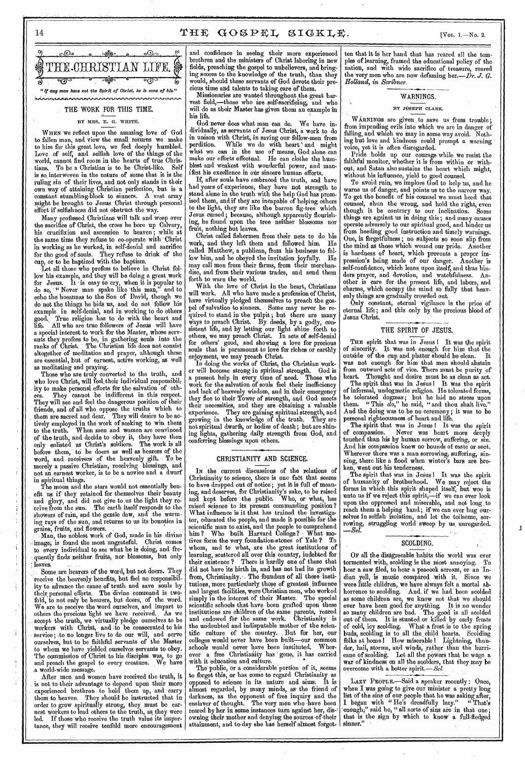14  $\mathbf{T} \boxplus \mathbb{E} \quad \mathbf{GO} \otimes \mathbf{P} \boxplus \mathbf{L} \quad \mathbf{S} \mathbf{I} \mathbf{G} \mathbf{K} \mathbf{L} \mathbf{E}.$  [Vol. 1. – No. 2.]



# THE WORK FOR THIS TIME.

WHEN we reflect upon the amazing love of God to fallen man, and view the small returns we make to him for this great love, we feel deeply humbled. Love of self, and selfish love of the things of the world, cannot find room in the hearts of true Christians. To be a Christian is to, be Christ-like. Self is so interwoven in the nature of some that it is the ruling sin of their lives, and not only stands in their own way of attaining Christian perfection, but is a constant stumbling-block to sinners. A vast army might be brought to Jesus Christ through personal effort if selfishness did not obstruct the way.

the sacrifice of Christ, the cross he bore up Calvary, Many professed Christians will talk and weep over his crucifixion and ascension to heaven ; while at the same time they refuse to co-operate with Christ in working as he worked, in self-denial and sacrifice for the good of souls. They refuse to drink of the cup, or to be baptized with the baptism.

et all those who profess to believe in Christ folfor Jesus. It is easy to cry, when it is popular to do so, "Never man spake like this man," and to echo the hosannas to the Son of David, though we do not 'the things he bids us, and do not follow his example in self-denial, and in working to do others good. True religion has to do with the heart and good. True religion has to go with the new state.<br>life. All who are true followers of Jesus will have a special interest to work for the Master, whose sereants they profess to be, in gathering souls into the ranks of Christ. The Christian life does not consist altogether of meditation and prayer, although these are essential, but of earnest, active working, as well as meditating and praying.

Those who are truly converted to the truth, and who love Christ, will feel,their individual responsibil; ity to make personal efforts for the salvation of oth-They cannot be indifferent in this respect. They will see and feel the dangerous position of their friends, and of all who oppose the truths which to them are sacred and dear. They will desire to be actively employed in the work of seeking to win them to the truth. When men and women are convinced of the truth, and decide to obey it, they have then only enlisted as Christ's soldiers. The work is all before them, to be doers as well as hearers of the word, and receivers' of the heavenly gift. To be merely a passive Christian, receiving blessings, and not an earnest worker, is to be a novice and a dwarf in spiritual things.

The moon and the stars would not essentially benefit us if they retained for themselves their beauty and glory, and did not give to us the light they receive from the sun. The earth itself responds to the showers of rain, and the gentle dew, and the warming rays of the sun, and returns to us its bounties in grains, fruits, and flowers.

Man, the noblest work of God, made in his divine image; is found the most ungrateful. Christ comes to every individual to see what he is doing, and frequently finds neither fruits, nor blossoms, but only leaves.

Some are hearers of the word, but not doers. They receive the heavenly benefits, but feel no responsibility to advance the cause of truth and save souls by their, personal efforts. The divine command is twofold, to not only be hearers, but doers, of the word, We are to receive the word ourselves, and impart to others the precious light we have received. , As we accept the truth, we virtually pledge ourselves to be workers with Christ, and to be consecrated to his service; to no longer live to do our will, and scrve ourselves, but to be faithful servants of' the Master to whom we have yielded ourselves servants to obey. The commission of Christ to his disciples was., to go and preach the gospel to every creature. We have a world-wide message.

After men and women have received the truth, it is not to their advantage to depend upon their more experienced brethren to hold them up, and carry them to. heaven. They should be instructed that in order to grow spiritually strong, they must bo earnest workers to lead others to the truth, as, they were led. If those who receive the truth value its importance, they will receive tenfold more encouragement

and confidence in seeing their more experienced brethren and the ministers of Christ laboring in new preaching the gospel to unbelievers, and bringing scores to the knowledge of the truth, than they would, should these servants of God devote their precious time and talents to taking care of them.

Missionaries are wanted throughout the great harvest field,—those who are self-sacrificing, and who will do as their Master has given them an example in his life.

BY MRS. E. G. WHITE. dividually, as servants of Jesus Christ, a work to do in unison with Christ, in saving our fellow-men from perdition. While we do with heart 'and might what we can in the use of means, God alone can make our efforts effectual. He can clothe the humblest and weakest with wonderful power, and manifest his excellence in our sincere human efforts.

If, after souls have embraced the truth, and have had years of experience, they have not strength to stand alone in the truth with the help God has promised them, and if they are incapable of helping others to the light, they are like the barren fig-tree which Jesus cursed ; because, although apparently flourishing, he found upon the tree neither blossoms nor fruit, nothing but leaves.

Christ called fishermen from their nets to do his work, and they left them and followed him. He called Matthew, a publican, from his business to follow him, and he obeyed the invitation joyfully. He disc, may call men from their farms, from their merchandisc, and from their various trades, and send them forth to warn the world. low his example, and they will be doing a great work  $\begin{bmatrix} \cos \theta & \sin \theta \\ \cos \theta & \cos \theta \end{bmatrix}$  and send them and

With the love of Christ in the heart, Christians will work. All who have made a profession of Christ, have virtually pledged themselves to preach the gospel of salvation to sinners. Some may never be required to stand in the pulpit; but there are many ways to preach Christ. By deeds, by a godly, con- Io sistent life, and by letting our light shine forth to we may preach Christ. In acts of self-denial for others' good, and showing a love for precious souls that is paramount to love for riches or earthly enjoyment, we may preach Christ. good. True religion has to do with the heart and  $\frac{q}{w}$  reason of thrist. By deeds by a godly equally  $\frac{q}{w}$  Jesus

In doing the works of Christ, the Christian worker will become strong in spiritual strength. God is a present help in every time of need. Those who work for the salvation of souls feel their inefficiency and lack of heavenly wisdom, and in their emergency they flee to their Tower of strength, and God meets their necessities, and they are obtaining a valuable experience. They are gaining spiritual strength, and growing in the knowledge of the truth. They are growing in the knowledge of the truth. They are not spiritual dwarfs, or bodies of death; but are shining lights, gathering daily strength from God, and conferring blessings upon others.

## CHRISTIANITY AND. SCIENCE.

IN the current discussions of the relations of Christianity to science, there is one fact that seems to have dropped out of notice; yet it is full of meaning, and deserves, for Christianity's sake, to be raised and kept before the public. Who, or what, has raised science to its present commanding position? What influence is it that has trained the investigator, educated the people, and made it possible for the scientific man to exist, and the people to comprehend him? Who built Harvard College? What motives form the very foundation-stones of Yale ? To whom, and to what, are the great institutions of learning, scattered all over this country, indebted for<br>their existence? There is hardly one of these that There is hardly one of these that did not have its birth in, and has not had its growth from, Christianity. The founders of all these institutions, more particularly those of' greatest influence and largest facilities, were Christian men, who worked<br>simply in the interest of their Master. The special simply in the interest of their Master. The special scientific schools that have been grafted upon these institutions are children of the same parents, reared and endowed for the same work. Christianity is and endowed for the same work. Christianity is the undoubted and indisputable mother of the scientific culture of the country. But for her, our colleges would never have been built—our common schools would never have been instituted. ever a free Christianity has ' gone, it has carried with it education and culture.

The public, or a considerable portion of it, seems to forget this, or has come to regard Christianity as opposed to science in its nature and aims. It is almost regarded, by many minds, as• the friend of darkness, as the opponent of free inquiry and the enslaver of thought. The very men who have been reared by her in some instances turn against her, disowning their mother and denying the sources of their attainment, and to day she has herself almost forgotten that it is her hand that has reared all the templea of learning, framed the educational policyof the nation, and with wide sacrifice of treasure, reared the very men who are now defaming her.- $\dot{D}r$ . *J. G. Holland, in Scribner.* 

## WARNINGS. BY JOSEPH CLARK.

w ARNINGS are given to save us from trouble;<br>from impending evils into which we are in danger of falling, and which we may in some way avoid. Nothing but love and kindness could prompt a warning voice, yet it is often disregarded.

Pride holds up our courage while we resist the faithful monitor, whether it is from within or without, and Satan also sustains the heart which might, without his influence, yield to good counsel.

To avoid ruin, we implore God to help us, and he warns us of danger, and points us to the narrow way. To get the benefit of his counsel we must heed that counsel, shun the wrong, and hold the right, even though it be contrary to our inclination. Some things are against us in doing this ; and many causes adversely to our spiritual good, and hinder us from heeding good instruction and timely warnings. One, is forgetfulness ; no subjects so soon slip from the mind as those which wound our pride. Another is hardness of heart, which prevents *a* proper impression's being made of our danger. Another is self-confidence, which leans upon itself, and thus hinders prayer, and devotion, and watchfulness. Another is care for the present life, and labors, and charms, which occupy the mind so fully that heavenly things are gradually crowded out.

Only constant, eternal vigilance is the price of eternal life; and this only by the precious blood of Jesus Christ.

#### THE SPIRIT OF JESUS.

THE spirit that was in Jesus 1 It was the spirit of sincerity. It was not enough for him that the It was not enough for him that the<br>e cup and platter should be clean. It outside of the cup and platter should be clean. was not enough for him that men should abstain from outward acts of vice. There must be purity of heart. Thought and desire must be as clean as act.

The spirit that was in Jesus! It was the spirit of informal, undogmatic religion. He tolerated forms, he tolerated dogmas; but he laid no stress upon them. " This *do,"* he said, " and thou shalt live." And the doing was to be no ceremony; it was to be personal righteousness of heart and life.

The spirit that was in Jesus! It was the spirit<br>of compassion. Never was heart more deeply Never was heart more deeply touched than his by human sorrow, suffering, or sin. And his compassion knew no bounds of caste or sect. Wherever there was a man sorrowing, suffering, sinning, there like a flood when winter's bars are broken, went out his tenderness.

The spirit that was in Jesus! It was the spirit of humanity of brotherhood. We may reject the forms in which this spirit shaped itself, but woe is unto us if we reject this spirit,—if we can ever look upon the oppressed and miserable, and not long ,to reach them a helping hand; if we can ever hug ourselves in selfish isolation, and let the toilsome, sorrowing, struggling world sweep by us, unregarded. *—Se/.* 

#### SCOLDING.

SCOLDING.<br>Or all the disagreeable habits the world was ever tormented with, scolding is the niost annoying. To hear a saw filed, to hear a peacock scream, or an 'Indian yell, is music compared with it. Since we were little children, we have always felt a mortal abhorrenee to scolding. And, if we had been scolded as some children are, we know not that we should ever have been good for anything. It is no wonder so many children are bad. The good is all scolded out of them. It is stunted or killed by early frosts of cold, icy scolding. What a frost, is to the spring buds, scolding is to all the child hearts. Scolding folks at home.! How miserable! Lightning, thunder, hail, storms, and winds, rather than the hurricane of scolding. Let all the powers that be wage a war of kindness, on all the solders, that they may be' overcome with a better spirit.— *Sel.* 

LAZY PEOPLE.—Said a speaker recently : Once, when I was going to give our minister a pretty long list of the sins of our people that he was asking after, I began with " He's dreadfully lazy." " That's enough;" said he, "all sorts of sins are in that one; that is the sign by which to know a full-fledged sinner,"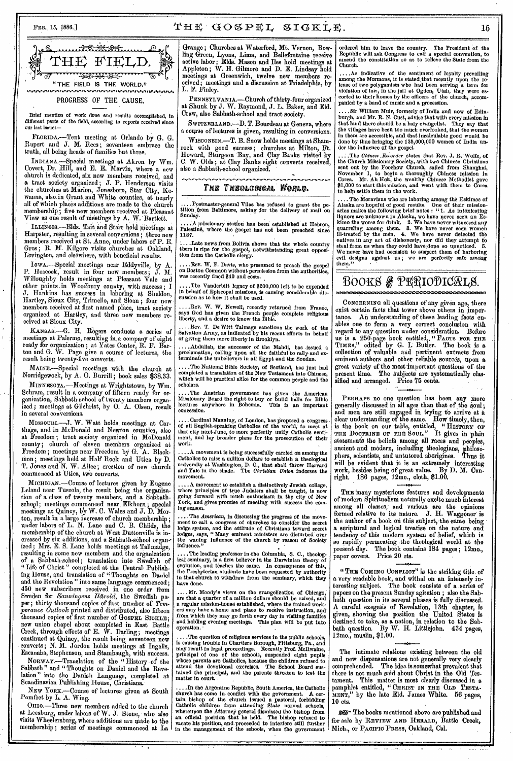# FEB. 15, 1886.]  $\text{THE} \cdot \text{GOSPEL} \cdot \text{SIGKLE},$  15



#### PROGRESS OF THE CAUSE.

Brief mention of work done and results accomplished, in different parts of the field, according to reports received since our last issue :—

FLORIDA.—Tent meeting at Orlando by G. G. Rupert and J. M. Rees; seventeen embrace the truth, all being heads of families but three.

INDIANA—Special meetings at Akron by Wm. Covert, Dr. Hill, and E. E. Marvin, where a new church is dedicated, six new members received, and a tract society organized ; J. P. Henderson visits the churches at Marion, Jonesboro, Star City, Rewanna, also in Grant. and White counties, at nearly all of which places additions are made to the church membership; five new members received at Pleasant View as one result of meetings by A. W. Bartlett.

ILLINOIS.-Elds. Tait and Starr hold meetings at Harpster, resulting in several conversions ; three new members received at St. Anne, under labors of P. E. Gros; R. M. Kilgore visits churches at Oakland, Lovington, and elsewhere, with beneficial results.

IOWA.—Special meetings near Eddyville, by A. P. Heacock, result in four new members ; J. M. Willoughby holds meetings at Pleasant Vale and other points in Woodbury county, with succes J. Hankins has success in laboring at Sheldon, Hartley, Sioux City, Trimello, and Sloan ; four new members received at first named place, tract society organized at Hartley, and three new members received at Sioux City.

KANSAS.—G. H, Rogers conducts a series of meetings at Palermo, resulting in a company of eight ready for organization ; at Yates Center, R. F. Barton and G. W. Page give a course of lectures, the result being twenty-five converts.

MAINE.-Special meetings with the church at Norridgewock, by A. 0. Burrill ; book sales \$38.33.

MINNESOTA.—Meetings at Wrightstown, by Wm. Schram, result in a company of fifteen ready for organization, Sabbath-school of twenty members organized; meetings at Gilchrist, by 0. A. Olsen, result in several conversions.

MISSOURI.—J. W. Watt holds, meetings at Carthage, and in McDonald and Newton counties, also at Freedom; tract society organized in McDonald county; church of eleven members organized at Freedom ; meetings near Freedom by G. A. Blackmon; meetings held at Half Rock and Utica by D. T. Jones and N. W. Alice; erection of new church commenced at Utica, two converts.

MICHIGAN.—Course of lectures given by Eugene Leland near Tuscola, the result being the organization of a class of twenty members, and a Sabbathschool; meetings commenced near Elkhorn; special meetings at Quincy, by W. C. Wales and J. D. Mor- , ton, result in a largo increase of church membership ; under labors of L. N. Lane and C. B. Childs, the membership of the church at West Duttonville is increased by six additions, and a Sabbath-school organ-. ized ; Mrs. E. S. Lane holds meetings at Tallmadge, resulting in some new members and the organization of a Sabbath-school ; translation into Swedish of " Life of Christ " completed at the Central- Publishing House, and translation of "Thoughts on Daniel and the Revelation " into same language commenced ; 450 new subscribers received in one order from Sweden for *Sanningens Harold,* the Swedish paper; thirty thousand copies of first number of *Temperance Outlook* printed and distributed, also fifteen thousand copies of first number of GOSPEL SICKLE; new union chapel about completed in East Battle Creek, through efforts of E. W. Darling; meetings continued at Quincy, the result being seventeen new converts ; N. M. Jordon holds meetings at Ingalls, Escanaba, Stephenson, and Stambaugh, with success.

NORWAY.—Translation of the " History •of the Sabbath " and " Thoughts on Daniel and the Revelation" into the Danish Language, completed at Scandinavian Publishing House, Christiana.

NEW YORK.—Course of lectures given at South Pomfret by L. A. Wing.

OHIO.-Three new members added to the church at Leesburg, under labors of W. J. Stone, who also visits Wheelersburg, where additions are made to the membership; series of meetings commenced at La

Grange; Churches at Waterford, Mt. Vernon, Bowling Green, Lyons, Lima, and Bellefontaine receive active labor • Bids. Mason and Iles hold meetings at Appleton; W. H. Gilmore and D. E. Lindsay hold meetings at Greenwich, twelve new members received; meetings and a discussion at Triadelphia, by L. F. Finley.

PENNSYLVANIA.—Church of thirty-four organized at Shunk by J. W. Raymond, J. L. Baker, and Eld. Craw, also Sabbath-school and tract society.

SWITZERLAND.—D. T. Bourdeau at Geneva, where a course of lectures is given, resulting in conversions.

WISCONSIN.—T. B. Snow holds meetings at Shamrock with good success; churches at Milton, Ft. Howard, Sturgeon Bay, and Clay Banks visited by C. W. Olds; at Clay Banks eight converts received, also a Sabbath-school organized.

#### THE THEOLOGICAL WORLD.

....Postmaster-general Vilas has refused to grant the pe-tition from Baltimore, asking for the delivery of mail on Sunday.

..A missionary station has been established at Hebron, Palestine, where the gospel has not been preached since 1187.

..Late news from Bolivia shows that the whole country there is ripe for the gospel, notwithstanding great opposi-tion from the Catholic clergy.

....Rev. W. F. Davis, who presumed to preach the gospel on Boston Common without permission from the authorities, was recently fined \$40 and costs.

....The Vanderbilt legacy of \$200,000 left to be expended in behalf of Episcopal missions, is causing considerable die mission as to how it shall be used.

....Rev. W. W. Newell, recently returned from France, says God has given the French people complete religious liberty, and a desire to know the Bible.

....Rev. T. De Witt Talmage sanctions the work of the Salvation Army, as indicated by his recent efforts in behalf of giving them more liberty in Brooklyn.

....Abdullah, the successor of the Mandi, has issued a proclamation, calling upon all the faithful to rally and ex-terminate the unbelievers in all Egypt and the Soudan.

....The National Bible Society, of Scotland, has just had completed a translation of the New Testament into Chinese, which will be practical alike for the common people and the scholars.

....The Austrian government has given the American Missionary Board the right to buy or build halls for Bible lectures anywhere in Bohemia. This is an important concession.

.... Cardinal Manning, of London, has proposed a congress of all English-speaking Catholics of the world, to meet at that city next June, to more perfectly unify Catholic senti-ment, and lay broader plans for the prosecution of their work.

. A movement is being successfully carried on among the Catholics to raise a million dollars to establish a theological university at Washington, D. C., that shall throw Harvard and Yale in the shade. The *Christian Union* indorses the movement.

. A movement to establish a distinctively Jewish college, where principles of true Judaism shall be taught, is now going forward with much enthusiasm in the city of New and gives promise of meeting with success the coming season.

....The *American,* in discussing the progress of the move-ment to call a congress of churches to consider the secret lodge system, and the attitude of Cbristians toward secret lodges, says, "Many eminent ministers are disturbed over the waning influence of the church by reason of Society influence."

. The leading professor in the Columbia, S. C., theological seminary, is a firm believer in the Darwinian theory of evolution, and teaches the same. In consequence of this, the Presbyterian students have been requested by authority in that church to withdraw from the seminary, which they have done.

.... Mr. Moody's views on the evangelization of Chicago, are that a quarter of a million dollars should be raised, and a regular mission-house established, where the trained work-ers may have a home and place to receive instruction, and from which they may go forth every day in visiting families and holding evening meetings. This plan will be put into operation. •

....The question of religious services in the public schools, is eausing trouble in Chartters Borough, Pittsburg, Pa., and may result in legal proceedings. Recently Prof. McItwaine, principal of one of the schools, suspend matter in court.

In the Argentine Republic, South America, the Catholic church has come in conflict with the government. A cer-tain bishop of the church issued a pastoral, forbidding Catholic children from attending State normal schools, whereupon the Attorney general dismissed the bishop from<br>an official position that he held. The bishop refused to<br>vacate his position, and proceeded to interfere still further<br>in the management of the schools, when the gov

Ordered him to leave the country. The President of the Republic will ask Congress to call a special convention, to amend the constitution so as to relieve the State from the Church.

....As indicative of the sentiment of loyalty prevailing among the Mormons, it is stated that recently upon the re-lease of two polygamists who had been serving a term for violation of law, in the jail at Ogden, Utah, they were es-corted to their homes by the officers of the church, accompanied by a band of music and a procession.

....Sir William Muir, formerly of India and now of Edinburgh, and Mr. R. *N.* Cust, advise that with every mission in that land there should be a lady evangelist. They *say* that the villages have been too much overlooked, that the women in them are accessible, and that incalculable good would be done by thus bringing the 125,000,000 women of India under the influence of the gospel.

:.The *Chinese. Recorder* states that Rev. J. R. 'Wolfe, of the Church Missionary Society, with two Chinese Cbristians<br>sent out by the Foochow Church, sailed from Shanghai, November 1, to begin a thoroughly Chinese mission in Corea. Mr. Ah Hok, the wealthy Chinese Methodist gave \$1,000 to start this mission, and went with them to Corea to help settle them in the work.

.... The Moravians who are laboring among the Eskimos of Alaska are hopeful of good results. One of their missionaries makes the following brief notes : "1. As intoxicating liquors are unknown in Alaska, we have never seen kimo the worse for drink. 2. We have never witnessed any<br>quarreling among them. 3. We have never seen women<br>ill-treated by the men. 4. We have never detected the<br>natives in any act of dishonesty, nor did they attempt to<br>st We never have had occasion to suspect them of harboring evil designs against us; we are perfectly safe among them."

# BOOKS & PRRIODICALS.

CONCERNING all questions of any given age, there exist certain facts that tower above others in, importance. An understanding of these leading facts enables one to form a very correct conclusion with regard to any question under consideration. Befbre us is a 250-page book entitled,, " **FACTS Fon THE TIMES,"** edited by G. I. Butler, The book is a collection of valuable and pertinent extracts from eminent authors and other reliable sources, upon a great variety of the most important questions of the present time. The subjects are systematically classified and arranged. Price 75 cents.

**PERHAPS** no one question has been any more generally discussed in all ages than that of the soul; and men are still engaged in trying to arrive at a clear understanding of the same. How timely, then, is the book on our table,. entitled, " **HISTORY** Or THE DOCTRINE OF THE SOUL." It gives in plain statements the beliefs among all races and peoples, ancient and modern, including theologians, philosophers, scientists, and untutored aborigines. Thus it will be evident that it is an extremely interesting work, -besides being of great value. By D. M. Canwork, besides being of great value. By<br>right. 186 pages, 12mo., cloth, \$1.00.

THE many mysterious features and developments of modern Spiritualism naturally excite much interest among all classes, and various are the opinions formed relative to its nature. J. H. Waggoner is the author of a book on this subject, the same being a scriptural and logical treatise on the nature and tendency of this modern system of belief, which is so rapidly permeating the theological world at the present day. The book contains 184 pages; 12mo., present day. The book cont<br>paper covers. Price 20 cts.

"THE COMING CONFLICT" is the striking title of a very readable book, and withal on an intensely interesting subject. The book consists of a series of papers on the present Sunday agitation ; also the Sabbath question in its several phases is Idly discussed. A careful exegesis of Revelation, 13th chapter, is given, showing the position the United States is destined to take, as a nation, in relation to the Sabbath question. By W. H. Littlejohn. 434 pages, 12mo., muslin, \$1.00.

The intimate relations existing between the old and new dispensations are not generally very clearly comprehended. The idea is somewhat prevalent that there is not much said about Christ in the Old Testament. This matter is most clearly discussed in a pamphlet entitled, " CHRIST IN THE OLD TESTA-MENT," by the late Eld. James White. 56 pages, 10 cts.

se- The books mentioned above are published and for sale by REVIEW AND HERALD, Battle Creek, Mich., or **PACIFIC PRESS,** Oakland, Cal.